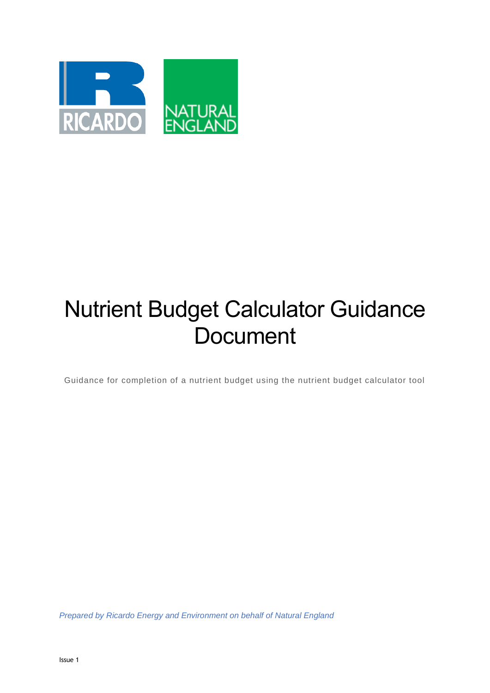

# Nutrient Budget Calculator Guidance **Document**

Guidance for completion of a nutrient budget using the nutrient budget calculator tool

*Prepared by Ricardo Energy and Environment on behalf of Natural England*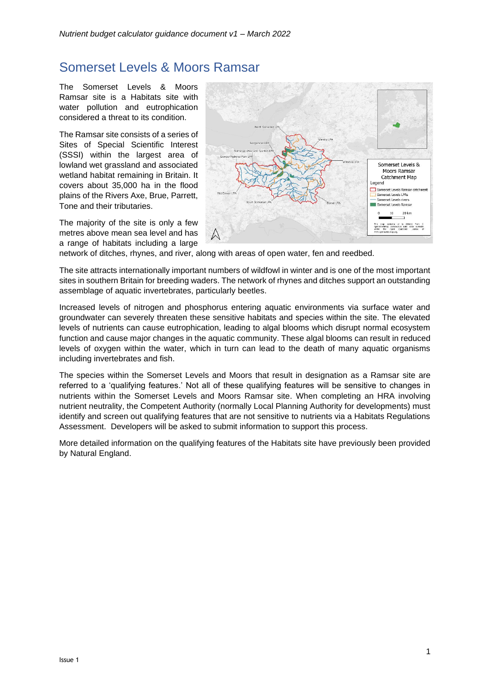# Somerset Levels & Moors Ramsar

The Somerset Levels & Moors Ramsar site is a Habitats site with water pollution and eutrophication considered a threat to its condition.

The Ramsar site consists of a series of Sites of Special Scientific Interest (SSSI) within the largest area of lowland wet grassland and associated wetland habitat remaining in Britain. It covers about 35,000 ha in the flood plains of the Rivers Axe, Brue, Parrett, Tone and their tributaries.

The majority of the site is only a few metres above mean sea level and has a range of habitats including a large



network of ditches, rhynes, and river, along with areas of open water, fen and reedbed.

The site attracts internationally important numbers of wildfowl in winter and is one of the most important sites in southern Britain for breeding waders. The network of rhynes and ditches support an outstanding assemblage of aquatic invertebrates, particularly beetles.

Increased levels of nitrogen and phosphorus entering aquatic environments via surface water and groundwater can severely threaten these sensitive habitats and species within the site. The elevated levels of nutrients can cause eutrophication, leading to algal blooms which disrupt normal ecosystem function and cause major changes in the aquatic community. These algal blooms can result in reduced levels of oxygen within the water, which in turn can lead to the death of many aquatic organisms including invertebrates and fish.

The species within the Somerset Levels and Moors that result in designation as a Ramsar site are referred to a 'qualifying features.' Not all of these qualifying features will be sensitive to changes in nutrients within the Somerset Levels and Moors Ramsar site. When completing an HRA involving nutrient neutrality, the Competent Authority (normally Local Planning Authority for developments) must identify and screen out qualifying features that are not sensitive to nutrients via a Habitats Regulations Assessment. Developers will be asked to submit information to support this process.

More detailed information on the qualifying features of the Habitats site have previously been provided by Natural England.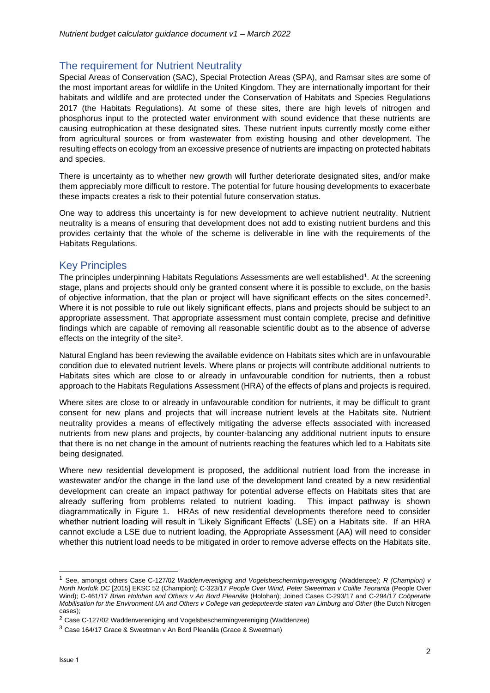# The requirement for Nutrient Neutrality

Special Areas of Conservation (SAC), Special Protection Areas (SPA), and Ramsar sites are some of the most important areas for wildlife in the United Kingdom. They are internationally important for their habitats and wildlife and are protected under the Conservation of Habitats and Species Regulations 2017 (the Habitats Regulations). At some of these sites, there are high levels of nitrogen and phosphorus input to the protected water environment with sound evidence that these nutrients are causing eutrophication at these designated sites. These nutrient inputs currently mostly come either from agricultural sources or from wastewater from existing housing and other development. The resulting effects on ecology from an excessive presence of nutrients are impacting on protected habitats and species.

There is uncertainty as to whether new growth will further deteriorate designated sites, and/or make them appreciably more difficult to restore. The potential for future housing developments to exacerbate these impacts creates a risk to their potential future conservation status.

One way to address this uncertainty is for new development to achieve nutrient neutrality. Nutrient neutrality is a means of ensuring that development does not add to existing nutrient burdens and this provides certainty that the whole of the scheme is deliverable in line with the requirements of the Habitats Regulations.

### Key Principles

The principles underpinning Habitats Regulations Assessments are well established<sup>1</sup>. At the screening stage, plans and projects should only be granted consent where it is possible to exclude, on the basis of objective information, that the plan or project will have significant effects on the sites concerned<sup>2</sup>. Where it is not possible to rule out likely significant effects, plans and projects should be subject to an appropriate assessment. That appropriate assessment must contain complete, precise and definitive findings which are capable of removing all reasonable scientific doubt as to the absence of adverse effects on the integrity of the site<sup>3</sup>.

Natural England has been reviewing the available evidence on Habitats sites which are in unfavourable condition due to elevated nutrient levels. Where plans or projects will contribute additional nutrients to Habitats sites which are close to or already in unfavourable condition for nutrients, then a robust approach to the Habitats Regulations Assessment (HRA) of the effects of plans and projects is required.

Where sites are close to or already in unfavourable condition for nutrients, it may be difficult to grant consent for new plans and projects that will increase nutrient levels at the Habitats site. Nutrient neutrality provides a means of effectively mitigating the adverse effects associated with increased nutrients from new plans and projects, by counter-balancing any additional nutrient inputs to ensure that there is no net change in the amount of nutrients reaching the features which led to a Habitats site being designated.

Where new residential development is proposed, the additional nutrient load from the increase in wastewater and/or the change in the land use of the development land created by a new residential development can create an impact pathway for potential adverse effects on Habitats sites that are already suffering from problems related to nutrient loading. This impact pathway is shown diagrammatically in Figure 1. HRAs of new residential developments therefore need to consider whether nutrient loading will result in 'Likely Significant Effects' (LSE) on a Habitats site. If an HRA cannot exclude a LSE due to nutrient loading, the Appropriate Assessment (AA) will need to consider whether this nutrient load needs to be mitigated in order to remove adverse effects on the Habitats site.

<sup>1</sup> See, amongst others Case C-127/02 *Waddenvereniging and Vogelsbeschermingvereniging* (Waddenzee); *R (Champion) v North Norfolk DC* [2015] EKSC 52 (Champion); C-323/17 *People Over Wind, Peter Sweetman v Coillte Teoranta* (People Over Wind); C-461/17 *Brian Holohan and Others v An Bord Pleanála* (Holohan); Joined Cases C-293/17 and C-294/17 *Coöperatie Mobilisation for the Environment UA and Others v College van gedeputeerde staten van Limburg and Other* (the Dutch Nitrogen cases);

<sup>2</sup> Case C-127/02 Waddenvereniging and Vogelsbeschermingvereniging (Waddenzee)

<sup>3</sup> Case 164/17 Grace & Sweetman v An Bord Pleanála (Grace & Sweetman)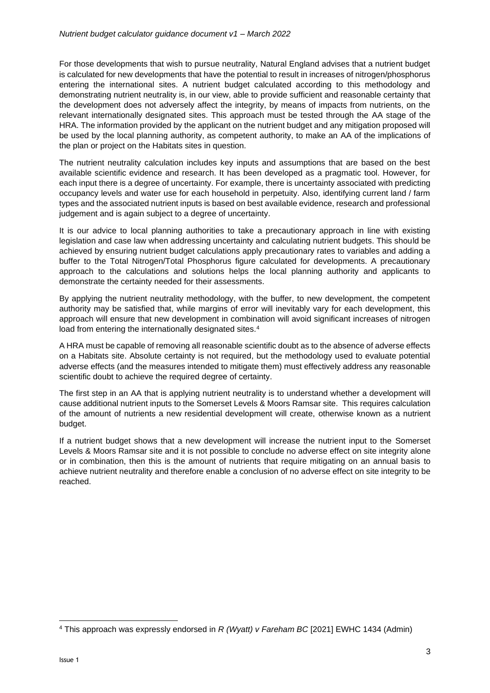For those developments that wish to pursue neutrality, Natural England advises that a nutrient budget is calculated for new developments that have the potential to result in increases of nitrogen/phosphorus entering the international sites. A nutrient budget calculated according to this methodology and demonstrating nutrient neutrality is, in our view, able to provide sufficient and reasonable certainty that the development does not adversely affect the integrity, by means of impacts from nutrients, on the relevant internationally designated sites. This approach must be tested through the AA stage of the HRA. The information provided by the applicant on the nutrient budget and any mitigation proposed will be used by the local planning authority, as competent authority, to make an AA of the implications of the plan or project on the Habitats sites in question.

The nutrient neutrality calculation includes key inputs and assumptions that are based on the best available scientific evidence and research. It has been developed as a pragmatic tool. However, for each input there is a degree of uncertainty. For example, there is uncertainty associated with predicting occupancy levels and water use for each household in perpetuity. Also, identifying current land / farm types and the associated nutrient inputs is based on best available evidence, research and professional judgement and is again subject to a degree of uncertainty.

It is our advice to local planning authorities to take a precautionary approach in line with existing legislation and case law when addressing uncertainty and calculating nutrient budgets. This should be achieved by ensuring nutrient budget calculations apply precautionary rates to variables and adding a buffer to the Total Nitrogen/Total Phosphorus figure calculated for developments. A precautionary approach to the calculations and solutions helps the local planning authority and applicants to demonstrate the certainty needed for their assessments.

By applying the nutrient neutrality methodology, with the buffer, to new development, the competent authority may be satisfied that, while margins of error will inevitably vary for each development, this approach will ensure that new development in combination will avoid significant increases of nitrogen load from entering the internationally designated sites.<sup>4</sup>

A HRA must be capable of removing all reasonable scientific doubt as to the absence of adverse effects on a Habitats site. Absolute certainty is not required, but the methodology used to evaluate potential adverse effects (and the measures intended to mitigate them) must effectively address any reasonable scientific doubt to achieve the required degree of certainty.

The first step in an AA that is applying nutrient neutrality is to understand whether a development will cause additional nutrient inputs to the Somerset Levels & Moors Ramsar site. This requires calculation of the amount of nutrients a new residential development will create, otherwise known as a nutrient budget.

If a nutrient budget shows that a new development will increase the nutrient input to the Somerset Levels & Moors Ramsar site and it is not possible to conclude no adverse effect on site integrity alone or in combination, then this is the amount of nutrients that require mitigating on an annual basis to achieve nutrient neutrality and therefore enable a conclusion of no adverse effect on site integrity to be reached.

<sup>4</sup> This approach was expressly endorsed in *R (Wyatt) v Fareham BC* [2021] EWHC 1434 (Admin)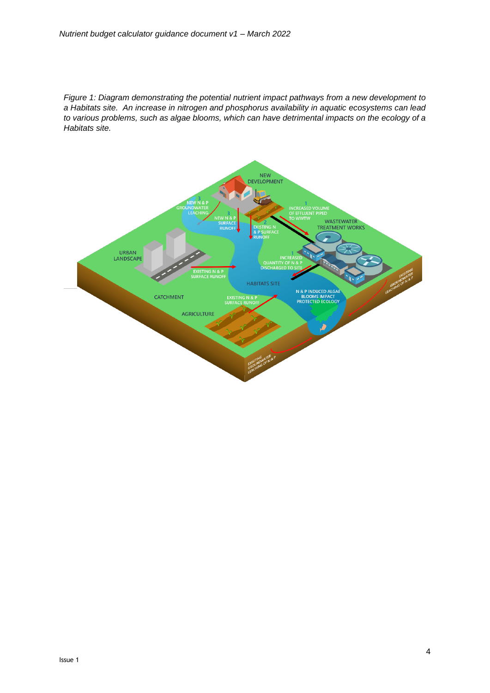*Figure 1: Diagram demonstrating the potential nutrient impact pathways from a new development to a Habitats site. An increase in nitrogen and phosphorus availability in aquatic ecosystems can lead to various problems, such as algae blooms, which can have detrimental impacts on the ecology of a Habitats site.*

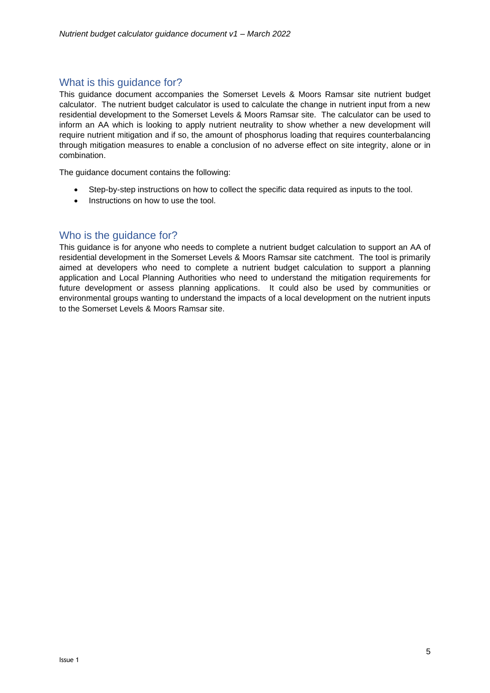# What is this guidance for?

This guidance document accompanies the Somerset Levels & Moors Ramsar site nutrient budget calculator. The nutrient budget calculator is used to calculate the change in nutrient input from a new residential development to the Somerset Levels & Moors Ramsar site. The calculator can be used to inform an AA which is looking to apply nutrient neutrality to show whether a new development will require nutrient mitigation and if so, the amount of phosphorus loading that requires counterbalancing through mitigation measures to enable a conclusion of no adverse effect on site integrity, alone or in combination.

The guidance document contains the following:

- Step-by-step instructions on how to collect the specific data required as inputs to the tool.
- Instructions on how to use the tool.

### Who is the guidance for?

This guidance is for anyone who needs to complete a nutrient budget calculation to support an AA of residential development in the Somerset Levels & Moors Ramsar site catchment. The tool is primarily aimed at developers who need to complete a nutrient budget calculation to support a planning application and Local Planning Authorities who need to understand the mitigation requirements for future development or assess planning applications. It could also be used by communities or environmental groups wanting to understand the impacts of a local development on the nutrient inputs to the Somerset Levels & Moors Ramsar site.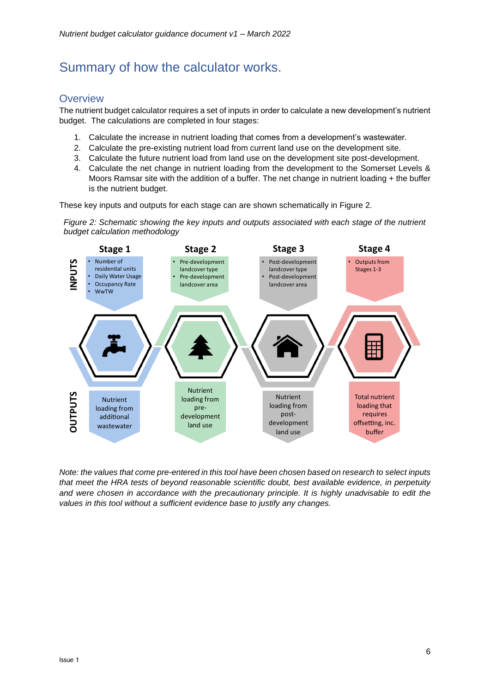# Summary of how the calculator works.

# **Overview**

The nutrient budget calculator requires a set of inputs in order to calculate a new development's nutrient budget. The calculations are completed in four stages:

- 1. Calculate the increase in nutrient loading that comes from a development's wastewater.
- 2. Calculate the pre-existing nutrient load from current land use on the development site.
- 3. Calculate the future nutrient load from land use on the development site post-development.
- 4. Calculate the net change in nutrient loading from the development to the Somerset Levels & Moors Ramsar site with the addition of a buffer. The net change in nutrient loading + the buffer is the nutrient budget.

These key inputs and outputs for each stage can are shown schematically in Figure 2.

*Figure 2: Schematic showing the key inputs and outputs associated with each stage of the nutrient budget calculation methodology*



*Note: the values that come pre-entered in this tool have been chosen based on research to select inputs that meet the HRA tests of beyond reasonable scientific doubt, best available evidence, in perpetuity and were chosen in accordance with the precautionary principle. It is highly unadvisable to edit the values in this tool without a sufficient evidence base to justify any changes.*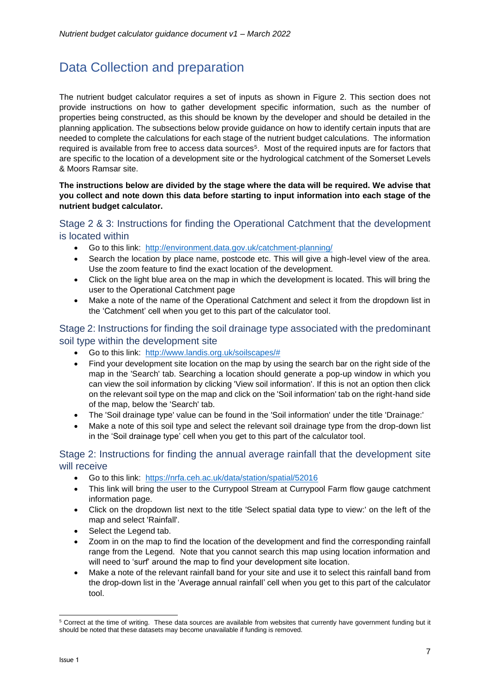# <span id="page-7-0"></span>Data Collection and preparation

The nutrient budget calculator requires a set of inputs as shown in Figure 2. This section does not provide instructions on how to gather development specific information, such as the number of properties being constructed, as this should be known by the developer and should be detailed in the planning application. The subsections below provide guidance on how to identify certain inputs that are needed to complete the calculations for each stage of the nutrient budget calculations. The information required is available from free to access data sources<sup>5</sup>. Most of the required inputs are for factors that are specific to the location of a development site or the hydrological catchment of the Somerset Levels & Moors Ramsar site.

### **The instructions below are divided by the stage where the data will be required. We advise that you collect and note down this data before starting to input information into each stage of the nutrient budget calculator.**

### Stage 2 & 3: Instructions for finding the Operational Catchment that the development is located within

- Go to this link: <http://environment.data.gov.uk/catchment-planning/>
- Search the location by place name, postcode etc. This will give a high-level view of the area. Use the zoom feature to find the exact location of the development.
- Click on the light blue area on the map in which the development is located. This will bring the user to the Operational Catchment page
- Make a note of the name of the Operational Catchment and select it from the dropdown list in the 'Catchment' cell when you get to this part of the calculator tool.

### Stage 2: Instructions for finding the soil drainage type associated with the predominant soil type within the development site

- Go to this link: [http://www.landis.org.uk/soilscapes/#](http://www.landis.org.uk/soilscapes/)
- Find your development site location on the map by using the search bar on the right side of the map in the 'Search' tab. Searching a location should generate a pop-up window in which you can view the soil information by clicking 'View soil information'. If this is not an option then click on the relevant soil type on the map and click on the 'Soil information' tab on the right-hand side of the map, below the 'Search' tab.
- The 'Soil drainage type' value can be found in the 'Soil information' under the title 'Drainage:'
- Make a note of this soil type and select the relevant soil drainage type from the drop-down list in the 'Soil drainage type' cell when you get to this part of the calculator tool.

### Stage 2: Instructions for finding the annual average rainfall that the development site will receive

- Go to this link: <https://nrfa.ceh.ac.uk/data/station/spatial/52016>
- This link will bring the user to the Currypool Stream at Currypool Farm flow gauge catchment information page.
- Click on the dropdown list next to the title 'Select spatial data type to view:' on the left of the map and select 'Rainfall'.
- Select the Legend tab.
- Zoom in on the map to find the location of the development and find the corresponding rainfall range from the Legend. Note that you cannot search this map using location information and will need to 'surf' around the map to find your development site location.
- Make a note of the relevant rainfall band for your site and use it to select this rainfall band from the drop-down list in the 'Average annual rainfall' cell when you get to this part of the calculator tool.

<sup>&</sup>lt;sup>5</sup> Correct at the time of writing. These data sources are available from websites that currently have government funding but it should be noted that these datasets may become unavailable if funding is removed.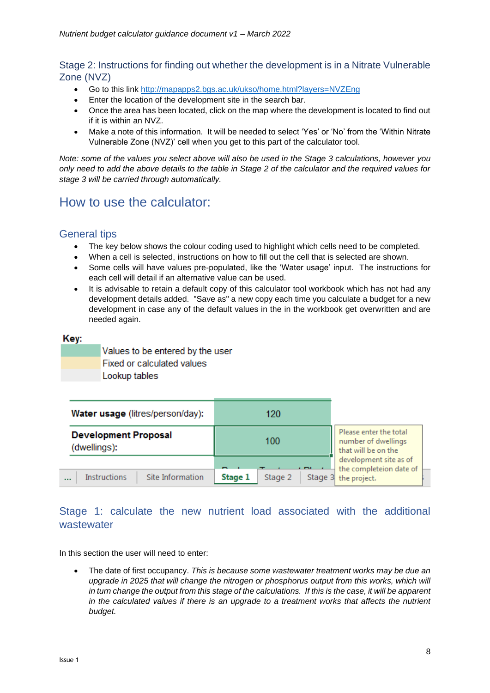# Stage 2: Instructions for finding out whether the development is in a Nitrate Vulnerable Zone (NVZ)

- Go to this link<http://mapapps2.bgs.ac.uk/ukso/home.html?layers=NVZEng>
- Enter the location of the development site in the search bar.
- Once the area has been located, click on the map where the development is located to find out if it is within an NVZ.
- Make a note of this information. It will be needed to select 'Yes' or 'No' from the 'Within Nitrate Vulnerable Zone (NVZ)' cell when you get to this part of the calculator tool.

*Note: some of the values you select above will also be used in the Stage 3 calculations, however you only need to add the above details to the table in Stage 2 of the calculator and the required values for stage 3 will be carried through automatically.* 

# How to use the calculator:

# General tips

- The key below shows the colour coding used to highlight which cells need to be completed.
- When a cell is selected, instructions on how to fill out the cell that is selected are shown.
- Some cells will have values pre-populated, like the 'Water usage' input. The instructions for each cell will detail if an alternative value can be used.
- It is advisable to retain a default copy of this calculator tool workbook which has not had any development details added. "Save as" a new copy each time you calculate a budget for a new development in case any of the default values in the in the workbook get overwritten and are needed again.

### Kev:

Values to be entered by the user **Fixed or calculated values** Lookup tables

| Water usage (litres/person/day):             | 120                |                                                                      |  |
|----------------------------------------------|--------------------|----------------------------------------------------------------------|--|
| <b>Development Proposal</b><br>(dwellings):  | 100                | Please enter the total<br>number of dwellings<br>that will be on the |  |
|                                              | -                  | development site as of<br>the completeion date of                    |  |
| Instructions<br>Site Information<br>$\cdots$ | Stage 1<br>Stage 2 | Stage 3 the project.                                                 |  |

# Stage 1: calculate the new nutrient load associated with the additional wastewater

In this section the user will need to enter:

• The date of first occupancy. *This is because some wastewater treatment works may be due an upgrade in 2025 that will change the nitrogen or phosphorus output from this works, which will in turn change the output from this stage of the calculations. If this is the case, it will be apparent in the calculated values if there is an upgrade to a treatment works that affects the nutrient budget.*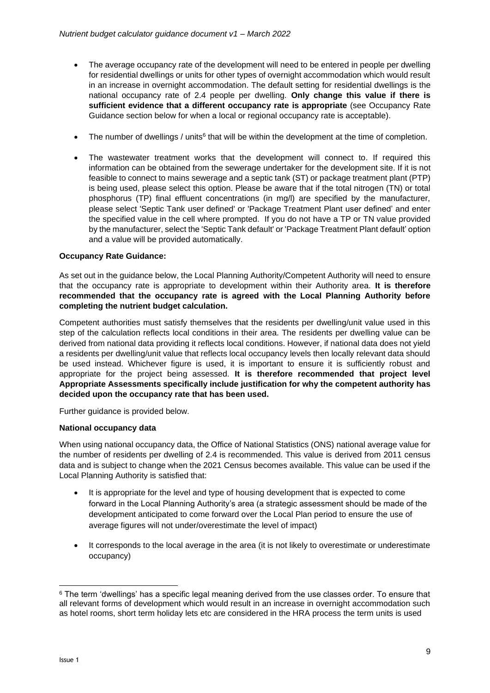- The average occupancy rate of the development will need to be entered in people per dwelling for residential dwellings or units for other types of overnight accommodation which would result in an increase in overnight accommodation. The default setting for residential dwellings is the national occupancy rate of 2.4 people per dwelling. **Only change this value if there is sufficient evidence that a different occupancy rate is appropriate** (see Occupancy Rate Guidance section below for when a local or regional occupancy rate is acceptable).
- The number of dwellings / units<sup>6</sup> that will be within the development at the time of completion.
- The wastewater treatment works that the development will connect to. If required this information can be obtained from the sewerage undertaker for the development site. If it is not feasible to connect to mains sewerage and a septic tank (ST) or package treatment plant (PTP) is being used, please select this option. Please be aware that if the total nitrogen (TN) or total phosphorus (TP) final effluent concentrations (in mg/l) are specified by the manufacturer, please select 'Septic Tank user defined' or 'Package Treatment Plant user defined' and enter the specified value in the cell where prompted. If you do not have a TP or TN value provided by the manufacturer, select the 'Septic Tank default' or 'Package Treatment Plant default' option and a value will be provided automatically.

### **Occupancy Rate Guidance:**

As set out in the guidance below, the Local Planning Authority/Competent Authority will need to ensure that the occupancy rate is appropriate to development within their Authority area. **It is therefore recommended that the occupancy rate is agreed with the Local Planning Authority before completing the nutrient budget calculation.**

Competent authorities must satisfy themselves that the residents per dwelling/unit value used in this step of the calculation reflects local conditions in their area. The residents per dwelling value can be derived from national data providing it reflects local conditions. However, if national data does not yield a residents per dwelling/unit value that reflects local occupancy levels then locally relevant data should be used instead. Whichever figure is used, it is important to ensure it is sufficiently robust and appropriate for the project being assessed. **It is therefore recommended that project level Appropriate Assessments specifically include justification for why the competent authority has decided upon the occupancy rate that has been used.**

Further guidance is provided below.

### **National occupancy data**

When using national occupancy data, the Office of National Statistics (ONS) national average value for the number of residents per dwelling of 2.4 is recommended. This value is derived from 2011 census data and is subject to change when the 2021 Census becomes available. This value can be used if the Local Planning Authority is satisfied that:

- It is appropriate for the level and type of housing development that is expected to come forward in the Local Planning Authority's area (a strategic assessment should be made of the development anticipated to come forward over the Local Plan period to ensure the use of average figures will not under/overestimate the level of impact)
- It corresponds to the local average in the area (it is not likely to overestimate or underestimate occupancy)

<sup>&</sup>lt;sup>6</sup> The term 'dwellings' has a specific legal meaning derived from the use classes order. To ensure that all relevant forms of development which would result in an increase in overnight accommodation such as hotel rooms, short term holiday lets etc are considered in the HRA process the term units is used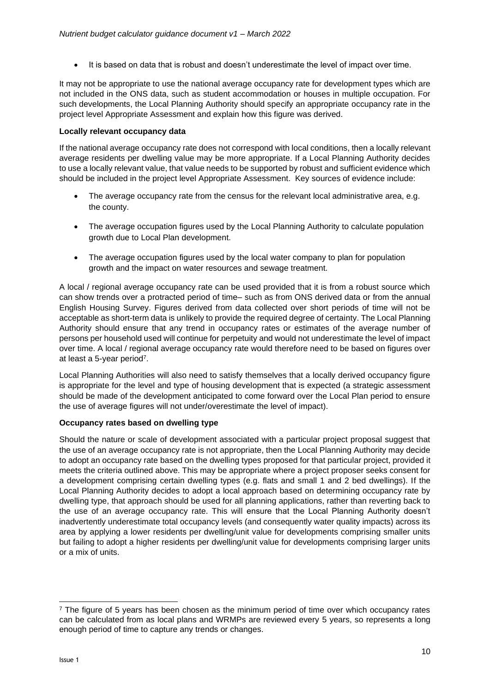It is based on data that is robust and doesn't underestimate the level of impact over time.

It may not be appropriate to use the national average occupancy rate for development types which are not included in the ONS data, such as student accommodation or houses in multiple occupation. For such developments, the Local Planning Authority should specify an appropriate occupancy rate in the project level Appropriate Assessment and explain how this figure was derived.

#### **Locally relevant occupancy data**

If the national average occupancy rate does not correspond with local conditions, then a locally relevant average residents per dwelling value may be more appropriate. If a Local Planning Authority decides to use a locally relevant value, that value needs to be supported by robust and sufficient evidence which should be included in the project level Appropriate Assessment. Key sources of evidence include:

- The average occupancy rate from the census for the relevant local administrative area, e.g. the county.
- The average occupation figures used by the Local Planning Authority to calculate population growth due to Local Plan development.
- The average occupation figures used by the local water company to plan for population growth and the impact on water resources and sewage treatment.

A local / regional average occupancy rate can be used provided that it is from a robust source which can show trends over a protracted period of time– such as from ONS derived data or from the annual English Housing Survey. Figures derived from data collected over short periods of time will not be acceptable as short-term data is unlikely to provide the required degree of certainty. The Local Planning Authority should ensure that any trend in occupancy rates or estimates of the average number of persons per household used will continue for perpetuity and would not underestimate the level of impact over time. A local / regional average occupancy rate would therefore need to be based on figures over at least a 5-year period<sup>7</sup>.

Local Planning Authorities will also need to satisfy themselves that a locally derived occupancy figure is appropriate for the level and type of housing development that is expected (a strategic assessment should be made of the development anticipated to come forward over the Local Plan period to ensure the use of average figures will not under/overestimate the level of impact).

### **Occupancy rates based on dwelling type**

Should the nature or scale of development associated with a particular project proposal suggest that the use of an average occupancy rate is not appropriate, then the Local Planning Authority may decide to adopt an occupancy rate based on the dwelling types proposed for that particular project, provided it meets the criteria outlined above. This may be appropriate where a project proposer seeks consent for a development comprising certain dwelling types (e.g. flats and small 1 and 2 bed dwellings). If the Local Planning Authority decides to adopt a local approach based on determining occupancy rate by dwelling type, that approach should be used for all planning applications, rather than reverting back to the use of an average occupancy rate. This will ensure that the Local Planning Authority doesn't inadvertently underestimate total occupancy levels (and consequently water quality impacts) across its area by applying a lower residents per dwelling/unit value for developments comprising smaller units but failing to adopt a higher residents per dwelling/unit value for developments comprising larger units or a mix of units.

 $<sup>7</sup>$  The figure of 5 years has been chosen as the minimum period of time over which occupancy rates</sup> can be calculated from as local plans and WRMPs are reviewed every 5 years, so represents a long enough period of time to capture any trends or changes.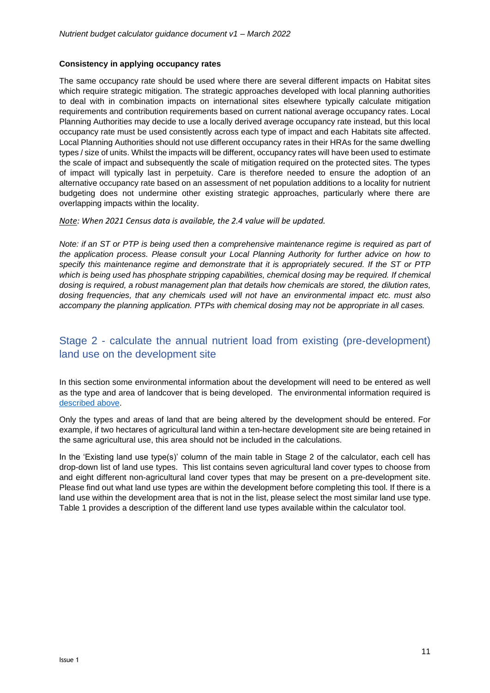#### **Consistency in applying occupancy rates**

The same occupancy rate should be used where there are several different impacts on Habitat sites which require strategic mitigation. The strategic approaches developed with local planning authorities to deal with in combination impacts on international sites elsewhere typically calculate mitigation requirements and contribution requirements based on current national average occupancy rates. Local Planning Authorities may decide to use a locally derived average occupancy rate instead, but this local occupancy rate must be used consistently across each type of impact and each Habitats site affected. Local Planning Authorities should not use different occupancy rates in their HRAs for the same dwelling types / size of units. Whilst the impacts will be different, occupancy rates will have been used to estimate the scale of impact and subsequently the scale of mitigation required on the protected sites. The types of impact will typically last in perpetuity. Care is therefore needed to ensure the adoption of an alternative occupancy rate based on an assessment of net population additions to a locality for nutrient budgeting does not undermine other existing strategic approaches, particularly where there are overlapping impacts within the locality.

#### *Note: When 2021 Census data is available, the 2.4 value will be updated.*

*Note: if an ST or PTP is being used then a comprehensive maintenance regime is required as part of the application process. Please consult your Local Planning Authority for further advice on how to specify this maintenance regime and demonstrate that it is appropriately secured. If the ST or PTP which is being used has phosphate stripping capabilities, chemical dosing may be required. If chemical dosing is required, a robust management plan that details how chemicals are stored, the dilution rates, dosing frequencies, that any chemicals used will not have an environmental impact etc. must also accompany the planning application. PTPs with chemical dosing may not be appropriate in all cases.* 

# Stage 2 - calculate the annual nutrient load from existing (pre-development) land use on the development site

In this section some environmental information about the development will need to be entered as well as the type and area of landcover that is being developed. The environmental information required is [described above.](#page-7-0)

Only the types and areas of land that are being altered by the development should be entered. For example, if two hectares of agricultural land within a ten-hectare development site are being retained in the same agricultural use, this area should not be included in the calculations.

In the 'Existing land use type(s)' column of the main table in Stage 2 of the calculator, each cell has drop-down list of land use types. This list contains seven agricultural land cover types to choose from and eight different non-agricultural land cover types that may be present on a pre-development site. Please find out what land use types are within the development before completing this tool. If there is a land use within the development area that is not in the list, please select the most similar land use type. Table 1 provides a description of the different land use types available within the calculator tool.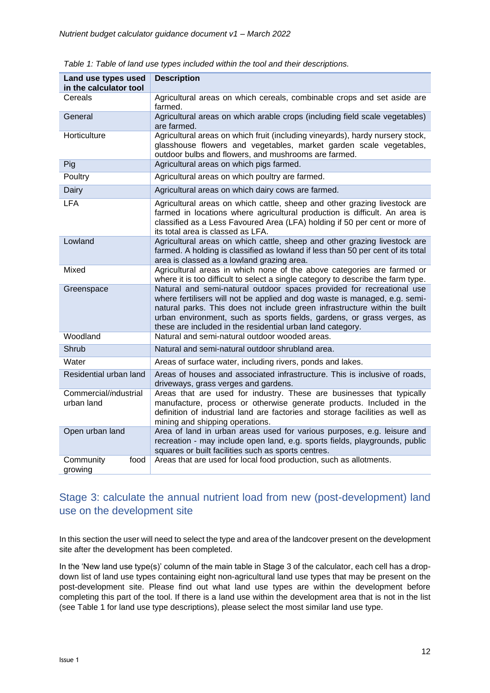| Land use types used<br>in the calculator tool | <b>Description</b>                                                                                                                                                                                                                                                                                                                                                        |  |
|-----------------------------------------------|---------------------------------------------------------------------------------------------------------------------------------------------------------------------------------------------------------------------------------------------------------------------------------------------------------------------------------------------------------------------------|--|
| Cereals                                       | Agricultural areas on which cereals, combinable crops and set aside are<br>farmed.                                                                                                                                                                                                                                                                                        |  |
| General                                       | Agricultural areas on which arable crops (including field scale vegetables)<br>are farmed.                                                                                                                                                                                                                                                                                |  |
| Horticulture                                  | Agricultural areas on which fruit (including vineyards), hardy nursery stock,<br>glasshouse flowers and vegetables, market garden scale vegetables,<br>outdoor bulbs and flowers, and mushrooms are farmed.                                                                                                                                                               |  |
| Pig                                           | Agricultural areas on which pigs farmed.                                                                                                                                                                                                                                                                                                                                  |  |
| Poultry                                       | Agricultural areas on which poultry are farmed.                                                                                                                                                                                                                                                                                                                           |  |
| Dairy                                         | Agricultural areas on which dairy cows are farmed.                                                                                                                                                                                                                                                                                                                        |  |
| <b>LFA</b>                                    | Agricultural areas on which cattle, sheep and other grazing livestock are<br>farmed in locations where agricultural production is difficult. An area is<br>classified as a Less Favoured Area (LFA) holding if 50 per cent or more of<br>its total area is classed as LFA.                                                                                                |  |
| Lowland                                       | Agricultural areas on which cattle, sheep and other grazing livestock are<br>farmed. A holding is classified as lowland if less than 50 per cent of its total<br>area is classed as a lowland grazing area.                                                                                                                                                               |  |
| Mixed                                         | Agricultural areas in which none of the above categories are farmed or<br>where it is too difficult to select a single category to describe the farm type.                                                                                                                                                                                                                |  |
| Greenspace                                    | Natural and semi-natural outdoor spaces provided for recreational use<br>where fertilisers will not be applied and dog waste is managed, e.g. semi-<br>natural parks. This does not include green infrastructure within the built<br>urban environment, such as sports fields, gardens, or grass verges, as<br>these are included in the residential urban land category. |  |
| Woodland                                      | Natural and semi-natural outdoor wooded areas.                                                                                                                                                                                                                                                                                                                            |  |
| Shrub                                         | Natural and semi-natural outdoor shrubland area.                                                                                                                                                                                                                                                                                                                          |  |
| Water                                         | Areas of surface water, including rivers, ponds and lakes.                                                                                                                                                                                                                                                                                                                |  |
| Residential urban land                        | Areas of houses and associated infrastructure. This is inclusive of roads,<br>driveways, grass verges and gardens.                                                                                                                                                                                                                                                        |  |
| Commercial/industrial<br>urban land           | Areas that are used for industry. These are businesses that typically<br>manufacture, process or otherwise generate products. Included in the<br>definition of industrial land are factories and storage facilities as well as<br>mining and shipping operations.                                                                                                         |  |
| Open urban land                               | Area of land in urban areas used for various purposes, e.g. leisure and<br>recreation - may include open land, e.g. sports fields, playgrounds, public<br>squares or built facilities such as sports centres.                                                                                                                                                             |  |
| Community<br>food<br>growing                  | Areas that are used for local food production, such as allotments.                                                                                                                                                                                                                                                                                                        |  |

*Table 1: Table of land use types included within the tool and their descriptions.*

# Stage 3: calculate the annual nutrient load from new (post-development) land use on the development site

In this section the user will need to select the type and area of the landcover present on the development site after the development has been completed.

In the 'New land use type(s)' column of the main table in Stage 3 of the calculator, each cell has a dropdown list of land use types containing eight non-agricultural land use types that may be present on the post-development site. Please find out what land use types are within the development before completing this part of the tool. If there is a land use within the development area that is not in the list (see Table 1 for land use type descriptions), please select the most similar land use type.